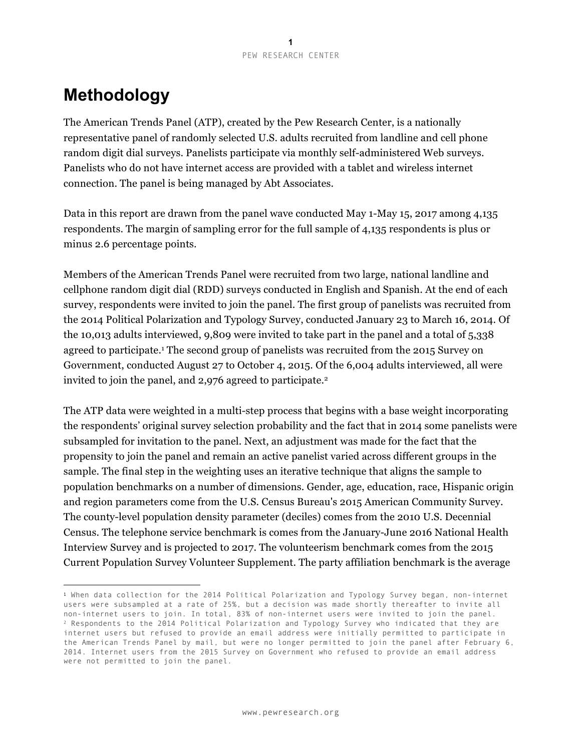# **Methodology**

<u>.</u>

The American Trends Panel (ATP), created by the Pew Research Center, is a nationally representative panel of randomly selected U.S. adults recruited from landline and cell phone random digit dial surveys. Panelists participate via monthly self-administered Web surveys. Panelists who do not have internet access are provided with a tablet and wireless internet connection. The panel is being managed by Abt Associates.

Data in this report are drawn from the panel wave conducted May 1-May 15, 2017 among 4,135 respondents. The margin of sampling error for the full sample of 4,135 respondents is plus or minus 2.6 percentage points.

Members of the American Trends Panel were recruited from two large, national landline and cellphone random digit dial (RDD) surveys conducted in English and Spanish. At the end of each survey, respondents were invited to join the panel. The first group of panelists was recruited from the 2014 Political Polarization and Typology Survey, conducted January 23 to March 16, 2014. Of the 10,013 adults interviewed, 9,809 were invited to take part in the panel and a total of 5,338 agreed to participate.1 The second group of panelists was recruited from the 2015 Survey on Government, conducted August 27 to October 4, 2015. Of the 6,004 adults interviewed, all were invited to join the panel, and 2,976 agreed to participate.<sup>2</sup>

The ATP data were weighted in a multi-step process that begins with a base weight incorporating the respondents' original survey selection probability and the fact that in 2014 some panelists were subsampled for invitation to the panel. Next, an adjustment was made for the fact that the propensity to join the panel and remain an active panelist varied across different groups in the sample. The final step in the weighting uses an iterative technique that aligns the sample to population benchmarks on a number of dimensions. Gender, age, education, race, Hispanic origin and region parameters come from the U.S. Census Bureau's 2015 American Community Survey. The county-level population density parameter (deciles) comes from the 2010 U.S. Decennial Census. The telephone service benchmark is comes from the January-June 2016 National Health Interview Survey and is projected to 2017. The volunteerism benchmark comes from the 2015 Current Population Survey Volunteer Supplement. The party affiliation benchmark is the average

<sup>1</sup> When data collection for the 2014 Political Polarization and Typology Survey began, non-internet users were subsampled at a rate of 25%, but a decision was made shortly thereafter to invite all non-internet users to join. In total, 83% of non-internet users were invited to join the panel. <sup>2</sup> Respondents to the 2014 Political Polarization and Typology Survey who indicated that they are internet users but refused to provide an email address were initially permitted to participate in the American Trends Panel by mail, but were no longer permitted to join the panel after February 6, 2014. Internet users from the 2015 Survey on Government who refused to provide an email address were not permitted to join the panel.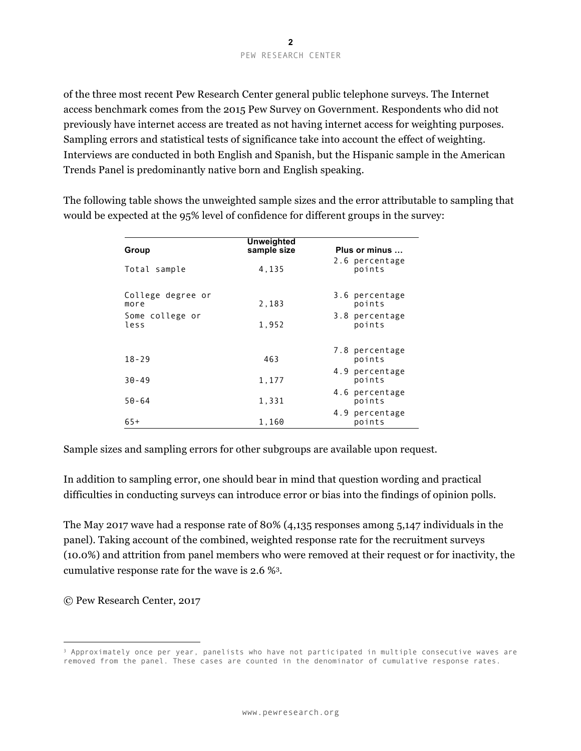of the three most recent Pew Research Center general public telephone surveys. The Internet access benchmark comes from the 2015 Pew Survey on Government. Respondents who did not previously have internet access are treated as not having internet access for weighting purposes. Sampling errors and statistical tests of significance take into account the effect of weighting. Interviews are conducted in both English and Spanish, but the Hispanic sample in the American Trends Panel is predominantly native born and English speaking.

The following table shows the unweighted sample sizes and the error attributable to sampling that would be expected at the 95% level of confidence for different groups in the survey:

| Group                     | Unweighted<br>sample size | Plus or minus            |
|---------------------------|---------------------------|--------------------------|
| Total sample              | 4,135                     | 2.6 percentage<br>points |
| College degree or<br>more | 2,183                     | 3.6 percentage<br>points |
| Some college or<br>less   | 1,952                     | 3.8 percentage<br>points |
| $18 - 29$                 | 463                       | 7.8 percentage<br>points |
| $30 - 49$                 | 1,177                     | 4.9 percentage<br>points |
| $50 - 64$                 | 1,331                     | 4.6 percentage<br>points |
| $65+$                     | 1,160                     | 4.9 percentage<br>points |

Sample sizes and sampling errors for other subgroups are available upon request.

In addition to sampling error, one should bear in mind that question wording and practical difficulties in conducting surveys can introduce error or bias into the findings of opinion polls.

The May 2017 wave had a response rate of 80% (4,135 responses among 5,147 individuals in the panel). Taking account of the combined, weighted response rate for the recruitment surveys (10.0%) and attrition from panel members who were removed at their request or for inactivity, the cumulative response rate for the wave is 2.6 %3.

© Pew Research Center, 2017

<u>.</u>

<sup>3</sup> Approximately once per year, panelists who have not participated in multiple consecutive waves are removed from the panel. These cases are counted in the denominator of cumulative response rates.